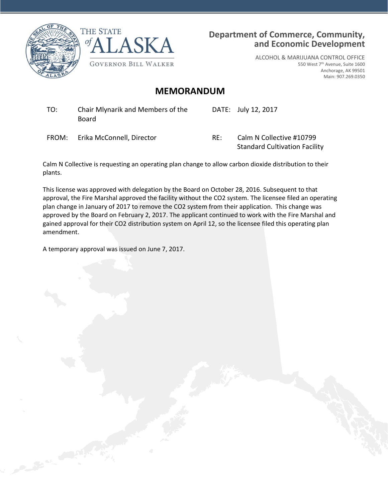



### **Department of Commerce, Community, and Economic Development**

ALCOHOL & MARIJUANA CONTROL OFFICE 550 West 7th Avenue, Suite 1600 Anchorage, AK 99501 Main: 907.269.0350

### **MEMORANDUM**

TO: Chair Mlynarik and Members of the Board

DATE: July 12, 2017

FROM: Erika McConnell, Director RE: Calm N Collective #10799

Standard Cultivation Facility

Calm N Collective is requesting an operating plan change to allow carbon dioxide distribution to their plants.

This license was approved with delegation by the Board on October 28, 2016. Subsequent to that approval, the Fire Marshal approved the facility without the CO2 system. The licensee filed an operating plan change in January of 2017 to remove the CO2 system from their application. This change was approved by the Board on February 2, 2017. The applicant continued to work with the Fire Marshal and gained approval for their CO2 distribution system on April 12, so the licensee filed this operating plan amendment.

A temporary approval was issued on June 7, 2017.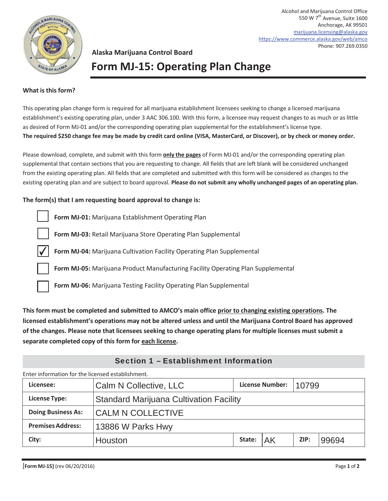

Alcohol and Marijuana Control Office 550 W 7<sup>th</sup> Avenue, Suite 1600 Anchorage, AK 99501 marijuana.licensing@alaska.gov https://www.commerce.alaska.gov/web/amco Phone: 907.269.0350

## **Alaska Marijuana Control Board Form MJ-15: Operating Plan Change**

### **What is this form?**

This operating plan change form is required for all marijuana establishment licensees seeking to change a licensed marijuana establishment's existing operating plan, under 3 AAC 306.100. With this form, a licensee may request changes to as much or as little as desired of Form MJ-01 and/or the corresponding operating plan supplemental for the establishment's license type. **The required \$250 change fee may be made by credit card online (VISA, MasterCard, or Discover), or by check or money order.**

Please download, complete, and submit with this form **only the pages** of Form MJ-01 and/or the corresponding operating plan supplemental that contain sections that you are requesting to change. All fields that are left blank will be considered unchanged from the existing operating plan. All fields that are completed and submitted with this form will be considered as changes to the existing operating plan and are subject to board approval. **Please do not submit any wholly unchanged pages of an operating plan.**

### **The form(s) that I am requesting board approval to change is:**

|                         | Form MJ-01: Marijuana Establishment Operating Plan                               |
|-------------------------|----------------------------------------------------------------------------------|
|                         | Form MJ-03: Retail Marijuana Store Operating Plan Supplemental                   |
| $\overline{\mathsf{v}}$ | Form MJ-04: Marijuana Cultivation Facility Operating Plan Supplemental           |
|                         | Form MJ-05: Marijuana Product Manufacturing Facility Operating Plan Supplemental |
|                         | Form MJ-06: Marijuana Testing Facility Operating Plan Supplemental               |
|                         |                                                                                  |

**This form must be completed and submitted to AMCO's main office prior to changing existing operations. The licensed establishment's operations may not be altered unless and until the Marijuana Control Board has approved of the changes. Please note that licensees seeking to change operating plans for multiple licenses must submit a separate completed copy of this form for each license.**

| Enter information for the licensed establishment. |                                                |        |                        |       |       |  |  |  |
|---------------------------------------------------|------------------------------------------------|--------|------------------------|-------|-------|--|--|--|
| Licensee:                                         | Calm N Collective, LLC                         |        | <b>License Number:</b> | 10799 |       |  |  |  |
| <b>License Type:</b>                              | <b>Standard Marijuana Cultivation Facility</b> |        |                        |       |       |  |  |  |
| <b>Doing Business As:</b>                         | <b>CALM N COLLECTIVE</b>                       |        |                        |       |       |  |  |  |
| <b>Premises Address:</b><br>13886 W Parks Hwy     |                                                |        |                        |       |       |  |  |  |
| City:                                             | Houston                                        | State: | AK                     | ZIP:  | 99694 |  |  |  |

### Section 1 – Establishment Information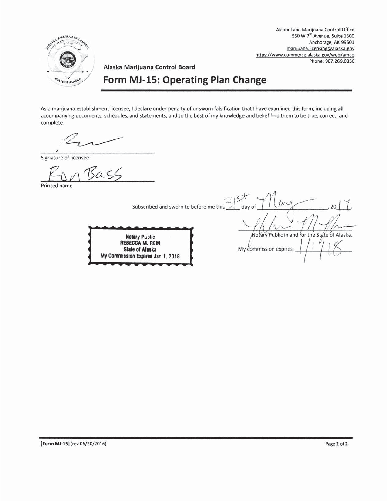

Alcohol and Marijuana Control Office 550 W 7<sup>th</sup> Avenue, Suite 1600 Anchorage, AK 99501 marijuana.licensing@alaska.gov https://www.commerce.alaska.gov/web/amco Phone: 907.269.0350

# Form MJ-15: Operating Plan Change

Alaska Marijuana Control Board

As a marijuana establishment licensee, I declare under penalty of unsworn falsification that I have examined this form, including all accompanying documents, schedules, and statements, and to the best of my knowledge and belief find them to be true, correct, and complete.

Signature of licensee

Bass

Printed name

 $25$ Subscribed and sworn to before me this.

**Notary Public** REBECCA M. REIN **State of Alaska** My Commission Expires Jan 1, 2018

Notary Public in and for the State of Alaska My commission expires:

 $\sim$ 

day of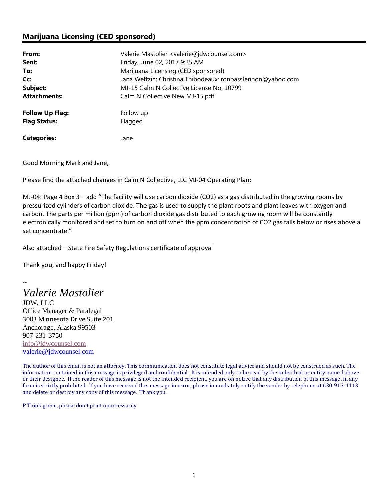### **Marijuana Licensing (CED sponsored)**

| From:                  | Valerie Mastolier <valerie@jdwcounsel.com></valerie@jdwcounsel.com> |
|------------------------|---------------------------------------------------------------------|
| Sent:                  | Friday, June 02, 2017 9:35 AM                                       |
| To:                    | Marijuana Licensing (CED sponsored)                                 |
| Cc:                    | Jana Weltzin; Christina Thibodeaux; ronbasslennon@yahoo.com         |
| Subject:               | MJ-15 Calm N Collective License No. 10799                           |
| <b>Attachments:</b>    | Calm N Collective New MJ-15.pdf                                     |
| <b>Follow Up Flag:</b> | Follow up                                                           |
| <b>Flag Status:</b>    | Flagged                                                             |
| <b>Categories:</b>     | Jane                                                                |

Good Morning Mark and Jane,

Please find the attached changes in Calm N Collective, LLC MJ‐04 Operating Plan:

MJ‐04: Page 4 Box 3 – add "The facility will use carbon dioxide (CO2) as a gas distributed in the growing rooms by pressurized cylinders of carbon dioxide. The gas is used to supply the plant roots and plant leaves with oxygen and carbon. The parts per million (ppm) of carbon dioxide gas distributed to each growing room will be constantly electronically monitored and set to turn on and off when the ppm concentration of CO2 gas falls below or rises above a set concentrate."

Also attached – State Fire Safety Regulations certificate of approval

Thank you, and happy Friday!

*Valerie Mastolier*

‐‐

JDW, LLC Office Manager & Paralegal 3003 Minnesota Drive Suite 201 Anchorage, Alaska 99503 907-231-3750 info@jdwcounsel.com valerie@jdwcounsel.com

The author of this email is not an attorney. This communication does not constitute legal advice and should not be construed as such. The information contained in this message is privileged and confidential. It is intended only to be read by the individual or entity named above or their designee. If the reader of this message is not the intended recipient, you are on notice that any distribution of this message, in any form is strictly prohibited. If you have received this message in error, please immediately notify the sender by telephone at 630-913-1113 and delete or destroy any copy of this message. Thank you.

P Think green, please don't print unnecessarily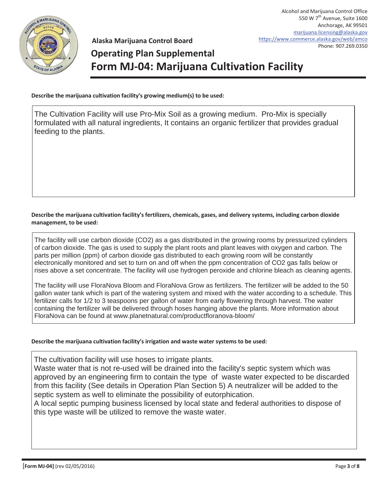

**Alaska Marijuana Control Board**

# **Operating Plan Supplemental Form MJ-04: Marijuana Cultivation Facility**

**Describe the marijuana cultivation facility's growing medium(s) to be used:**

The Cultivation Facility will use Pro-Mix Soil as a growing medium. Pro-Mix is specially formulated with all natural ingredients, It contains an organic fertilizer that provides gradual feeding to the plants.

### **Describe the marijuana cultivation facility's fertilizers, chemicals, gases, and delivery systems, including carbon dioxide management, to be used:**

The facility will use carbon dioxide (CO2) as a gas distributed in the growing rooms by pressurized cylinders of carbon dioxide. The gas is used to supply the plant roots and plant leaves with oxygen and carbon. The parts per million (ppm) of carbon dioxide gas distributed to each growing room will be constantly electronically monitored and set to turn on and off when the ppm concentration of CO2 gas falls below or rises above a set concentrate. The facility will use hydrogen peroxide and chlorine bleach as cleaning agents.

The facility will use FloraNova Bloom and FloraNova Grow as fertilizers. The fertilizer will be added to the 50 gallon water tank which is part of the watering system and mixed with the water according to a schedule. This fertilizer calls for 1/2 to 3 teaspoons per gallon of water from early flowering through harvest. The water containing the fertilizer will be delivered through hoses hanging above the plants. More information about FloraNova can be found at www.planetnatural.com/productfloranova-bloom/

### **Describe the marijuana cultivation facility's irrigation and waste water systems to be used:**

The cultivation facility will use hoses to irrigate plants.

Waste water that is not re-used will be drained into the facility's septic system which was approved by an engineering firm to contain the type of waste water expected to be discarded from this facility (See details in Operation Plan Section 5) A neutralizer will be added to the septic system as well to eliminate the possibility of eutorphication.

A local septic pumping business licensed by local state and federal authorities to dispose of this type waste will be utilized to remove the waste water.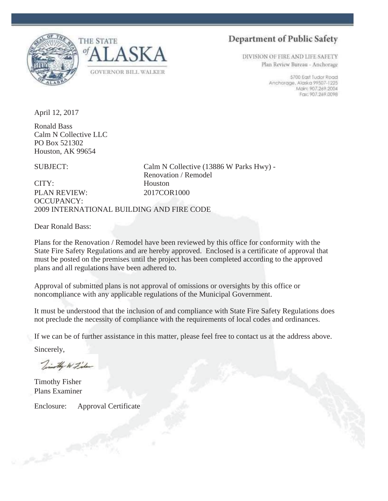



**Department of Public Safety** 

DIVISION OF FIRE AND LIFE SAFETY Plan Review Bureau - Anchorage

> 5700 East Tudor Road Anchorage, Alaska 99507-1225 Micin: 907.269.2004 Fax: 907.269.0098

April 12, 2017

Calm N Collective LLC PO Box 521302 Houston, AK 99654 Ronald Bass

SUBJECT:

CITY: 2009 INTERNATIONAL BUILDING AND FIRE CODE OCCUPANCY: PLAN REVIEW: 2017COR1000 **Houston** 

Dear Ronald Bass:

Plans for the Renovation / Remodel have been reviewed by this office for conformity with the State Fire Safety Regulations and are hereby approved. Enclosed is a certificate of approval that must be posted on the premises until the project has been completed according to the approved plans and all regulations have been adhered to.

Renovation / Remodel

Calm N Collective (13886 W Parks Hwy) -

Approval of submitted plans is not approval of omissions or oversights by this office or noncompliance with any applicable regulations of the Municipal Government.

It must be understood that the inclusion of and compliance with State Fire Safety Regulations does not preclude the necessity of compliance with the requirements of local codes and ordinances.

If we can be of further assistance in this matter, please feel free to contact us at the address above.

Sincerely,

Timothy W Fisher

Timothy Fisher Plans Examiner

Enclosure: Approval Certificate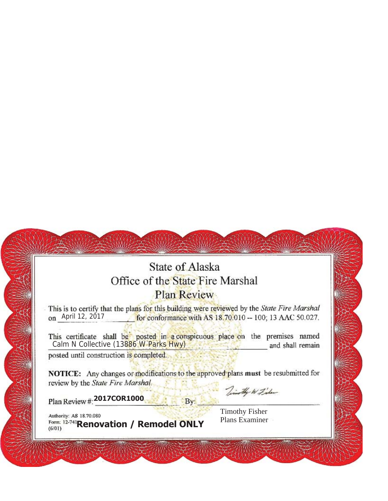## **State of Alaska** Office of the State Fire Marshal Plan Review

This is to certify that the plans for this building were reviewed by the State Fire Marshal on April 12, 2017 for conformance with AS 18.70.010 -- 100; 13 AAC 50.027.

This certificate shall be posted in a conspicuous place on the premises named<br>Calm N Collective (13886 W Parks Hwy) and shall remain

W.

posted until construction is completed.

NOTICE: Any changes or modifications to the approved plans must be resubmitted for review by the State Fire Marshal.

By:

**2017COR1000**

Timothy W Fisher

Authority: AS 18.70.080<br>
Form: 12-741**Renovation / Remodel ONLY** Plans Examiner  $(6/01)$ 

Timothy Fisher